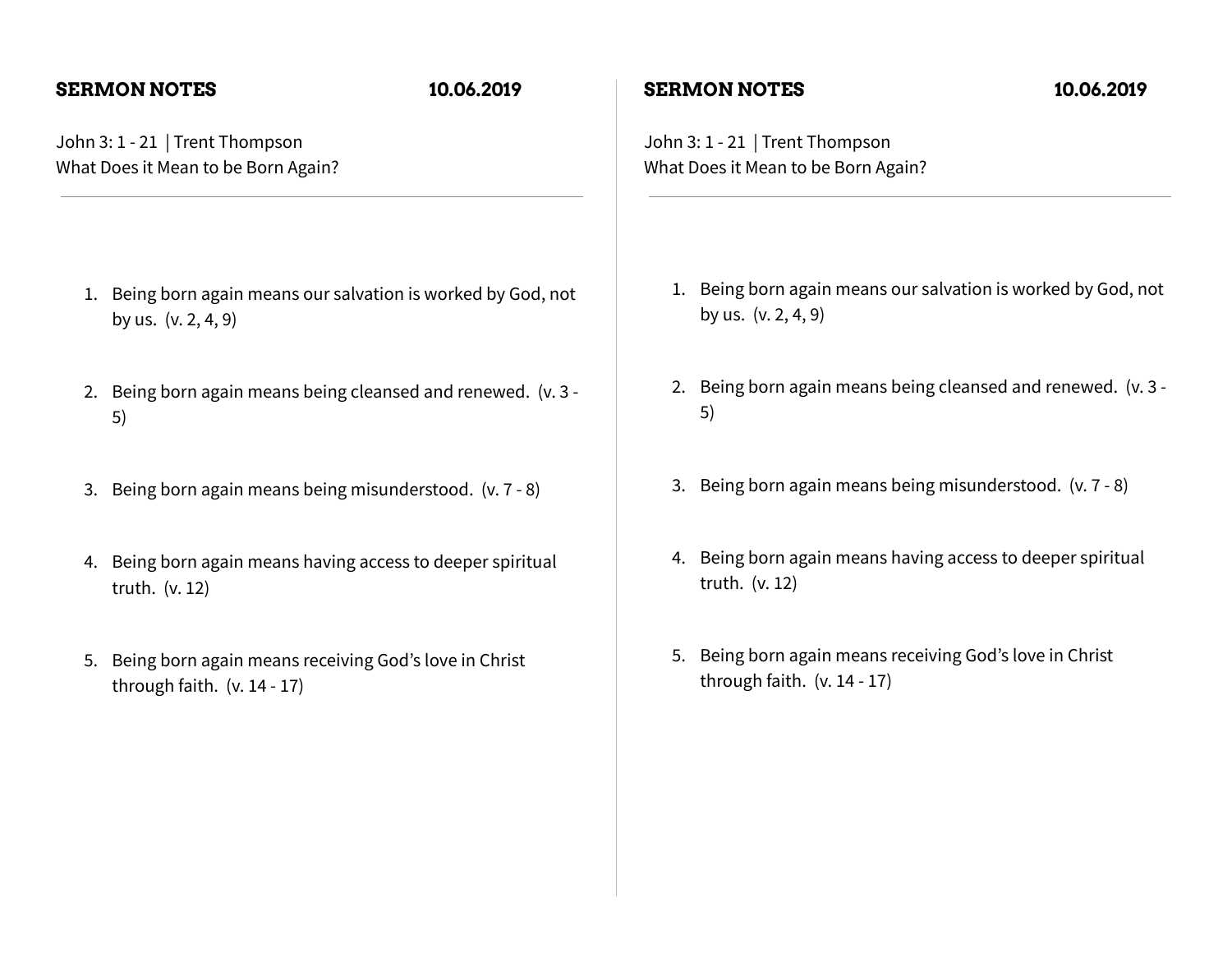### **SERMON NOTES 10.06.2019**

John 3: 1 - 21 | Trent Thompson What Does it Mean to be Born Again?

- 1. Being born again means our salvation is worked by God, not by us. (v. 2, 4, 9)
- 2. Being born again means being cleansed and renewed. (v. 3 5)
- 3. Being born again means being misunderstood. (v. 7 8)
- 4. Being born again means having access to deeper spiritual truth. (v. 12)
- 5. Being born again means receiving God's love in Christ through faith. (v. 14 - 17)

### **SERMON NOTES 10.06.2019**

John 3: 1 - 21 | Trent Thompson What Does it Mean to be Born Again?

- 1. Being born again means our salvation is worked by God, not by us. (v. 2, 4, 9)
- 2. Being born again means being cleansed and renewed. (v. 3 5)
- 3. Being born again means being misunderstood. (v. 7 8)
- 4. Being born again means having access to deeper spiritual truth. (v. 12)
- 5. Being born again means receiving God's love in Christ through faith. (v. 14 - 17)